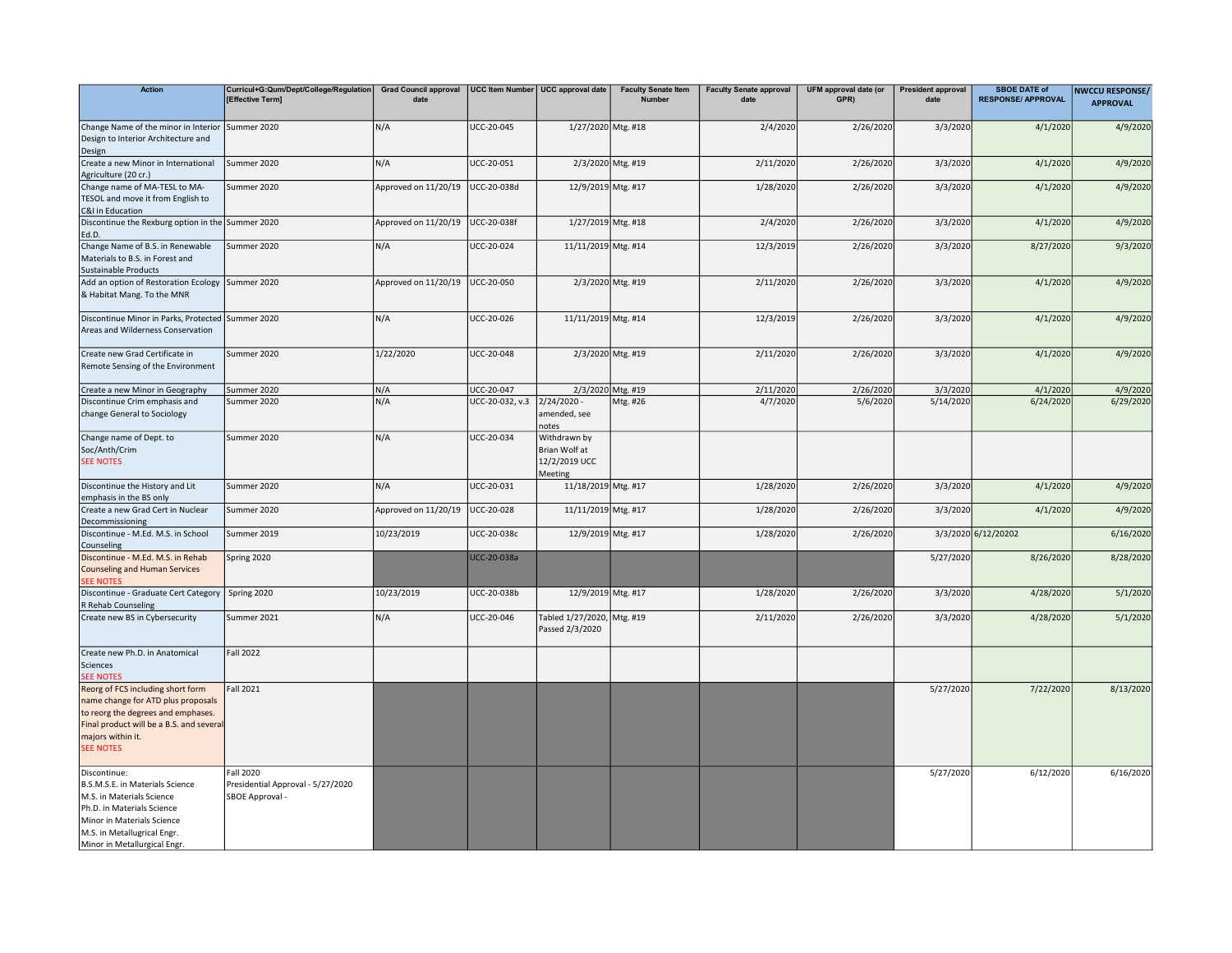| <b>Action</b>                                                                                                                                                                                           | Curricul+G:Qum/Dept/College/Regulation<br>[Effective Term]        | Grad Council approval   UCC Item Number   UCC approval date<br>date |                   |                                                           | <b>Faculty Senate Item</b><br><b>Number</b> | <b>Faculty Senate approval</b><br>date | UFM approval date (or<br>GPR) | <b>President approval</b><br>date | <b>SBOE DATE of</b><br><b>RESPONSE/ APPROVAL</b> | <b>NWCCU RESPONSE/</b><br><b>APPROVAL</b> |
|---------------------------------------------------------------------------------------------------------------------------------------------------------------------------------------------------------|-------------------------------------------------------------------|---------------------------------------------------------------------|-------------------|-----------------------------------------------------------|---------------------------------------------|----------------------------------------|-------------------------------|-----------------------------------|--------------------------------------------------|-------------------------------------------|
|                                                                                                                                                                                                         |                                                                   |                                                                     |                   |                                                           |                                             |                                        |                               |                                   |                                                  |                                           |
| Change Name of the minor in Interior<br>Design to Interior Architecture and<br>Design                                                                                                                   | Summer 2020                                                       | N/A                                                                 | UCC-20-045        | 1/27/2020 Mtg. #18                                        |                                             | 2/4/2020                               | 2/26/2020                     | 3/3/2020                          | 4/1/2020                                         | 4/9/2020                                  |
| Create a new Minor in International<br>Agriculture (20 cr.)                                                                                                                                             | Summer 2020                                                       | N/A                                                                 | UCC-20-051        |                                                           | 2/3/2020 Mtg. #19                           | 2/11/2020                              | 2/26/2020                     | 3/3/2020                          | 4/1/2020                                         | 4/9/2020                                  |
| Change name of MA-TESL to MA-<br>TESOL and move it from English to<br>C&I in Education                                                                                                                  | Summer 2020                                                       | Approved on 11/20/19                                                | UCC-20-038d       | 12/9/2019 Mtg. #17                                        |                                             | 1/28/2020                              | 2/26/2020                     | 3/3/2020                          | 4/1/2020                                         | 4/9/2020                                  |
| Discontinue the Rexburg option in the Summer 2020<br>Ed.D.                                                                                                                                              |                                                                   | Approved on 11/20/19                                                | UCC-20-038f       | 1/27/2019 Mtg. #18                                        |                                             | 2/4/2020                               | 2/26/2020                     | 3/3/2020                          | 4/1/2020                                         | 4/9/2020                                  |
| Change Name of B.S. in Renewable<br>Materials to B.S. in Forest and                                                                                                                                     | Summer 2020                                                       | N/A                                                                 | UCC-20-024        | 11/11/2019 Mtg. #14                                       |                                             | 12/3/2019                              | 2/26/2020                     | 3/3/2020                          | 8/27/2020                                        | 9/3/2020                                  |
| <b>Sustainable Products</b><br>Add an option of Restoration Ecology<br>& Habitat Mang. To the MNR                                                                                                       | Summer 2020                                                       | Approved on 11/20/19                                                | UCC-20-050        |                                                           | 2/3/2020 Mtg. #19                           | 2/11/2020                              | 2/26/2020                     | 3/3/2020                          | 4/1/2020                                         | 4/9/2020                                  |
| Discontinue Minor in Parks, Protected Summer 2020<br>Areas and Wilderness Conservation                                                                                                                  |                                                                   | N/A                                                                 | UCC-20-026        | 11/11/2019 Mtg. #14                                       |                                             | 12/3/2019                              | 2/26/2020                     | 3/3/2020                          | 4/1/2020                                         | 4/9/2020                                  |
| Create new Grad Certificate in<br>Remote Sensing of the Environment                                                                                                                                     | Summer 2020                                                       | 1/22/2020                                                           | <b>UCC-20-048</b> |                                                           | 2/3/2020 Mtg. #19                           | 2/11/2020                              | 2/26/2020                     | 3/3/2020                          | 4/1/2020                                         | 4/9/2020                                  |
| Create a new Minor in Geography                                                                                                                                                                         | Summer 2020                                                       | N/A                                                                 | UCC-20-047        |                                                           | 2/3/2020 Mtg. #19                           | 2/11/2020                              | 2/26/2020                     | 3/3/2020                          | 4/1/2020                                         | 4/9/2020                                  |
| Discontinue Crim emphasis and<br>change General to Sociology                                                                                                                                            | Summer 2020                                                       | N/A                                                                 | UCC-20-032, v.3   | $2/24/2020 -$<br>amended, see<br>notes                    | Mtg. #26                                    | 4/7/2020                               | 5/6/2020                      | 5/14/2020                         | 6/24/2020                                        | 6/29/2020                                 |
| Change name of Dept. to<br>Soc/Anth/Crim<br><b>SEE NOTES</b>                                                                                                                                            | Summer 2020                                                       | N/A                                                                 | UCC-20-034        | Withdrawn by<br>Brian Wolf at<br>12/2/2019 UCC<br>Meeting |                                             |                                        |                               |                                   |                                                  |                                           |
| Discontinue the History and Lit<br>emphasis in the BS only                                                                                                                                              | Summer 2020                                                       | N/A                                                                 | UCC-20-031        | 11/18/2019 Mtg. #17                                       |                                             | 1/28/2020                              | 2/26/2020                     | 3/3/2020                          | 4/1/2020                                         | 4/9/2020                                  |
| Create a new Grad Cert in Nuclear<br>Decommissioning                                                                                                                                                    | Summer 2020                                                       | Approved on 11/20/19                                                | UCC-20-028        | 11/11/2019 Mtg. #17                                       |                                             | 1/28/2020                              | 2/26/2020                     | 3/3/2020                          | 4/1/2020                                         | 4/9/2020                                  |
| Discontinue - M.Ed. M.S. in School<br>Counseling                                                                                                                                                        | Summer 2019                                                       | 10/23/2019                                                          | UCC-20-038c       | 12/9/2019 Mtg. #17                                        |                                             | 1/28/2020                              | 2/26/2020                     |                                   | 3/3/2020 6/12/20202                              | 6/16/2020                                 |
| Discontinue - M.Ed. M.S. in Rehab<br><b>Counseling and Human Services</b><br><b>SEE NOTES</b>                                                                                                           | Spring 2020                                                       |                                                                     | UCC-20-038a       |                                                           |                                             |                                        |                               | 5/27/2020                         | 8/26/2020                                        | 8/28/2020                                 |
| Discontinue - Graduate Cert Category<br>R Rehab Counseling                                                                                                                                              | Spring 2020                                                       | 10/23/2019                                                          | UCC-20-038b       | 12/9/2019 Mtg. #17                                        |                                             | 1/28/2020                              | 2/26/2020                     | 3/3/2020                          | 4/28/2020                                        | 5/1/2020                                  |
| Create new BS in Cybersecurity                                                                                                                                                                          | Summer 2021                                                       | N/A                                                                 | UCC-20-046        | Tabled 1/27/2020, Mtg. #19<br>Passed 2/3/2020             |                                             | 2/11/2020                              | 2/26/2020                     | 3/3/2020                          | 4/28/2020                                        | 5/1/2020                                  |
| Create new Ph.D. in Anatomical<br>Sciences<br><b>SEE NOTES</b>                                                                                                                                          | <b>Fall 2022</b>                                                  |                                                                     |                   |                                                           |                                             |                                        |                               |                                   |                                                  |                                           |
| Reorg of FCS including short form<br>name change for ATD plus proposals<br>to reorg the degrees and emphases.<br>Final product will be a B.S. and several<br>majors within it.<br><b>SEE NOTES</b>      | Fall 2021                                                         |                                                                     |                   |                                                           |                                             |                                        |                               | 5/27/2020                         | 7/22/2020                                        | 8/13/2020                                 |
| Discontinue:<br>B.S.M.S.E. in Materials Science<br>M.S. in Materials Science<br>Ph.D. in Materials Science<br>Minor in Materials Science<br>M.S. in Metallugrical Engr.<br>Minor in Metallurgical Engr. | Fall 2020<br>Presidential Approval - 5/27/2020<br>SBOE Approval - |                                                                     |                   |                                                           |                                             |                                        |                               | 5/27/2020                         | 6/12/2020                                        | 6/16/2020                                 |